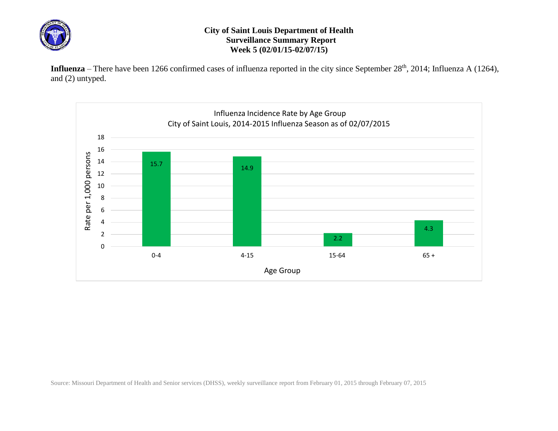

## **City of Saint Louis Department of Health Surveillance Summary Report Week 5 (02/01/15-02/07/15)**

Influenza – There have been 1266 confirmed cases of influenza reported in the city since September 28<sup>th</sup>, 2014; Influenza A (1264), and (2) untyped.



Source: Missouri Department of Health and Senior services (DHSS), weekly surveillance report from February 01, 2015 through February 07, 2015